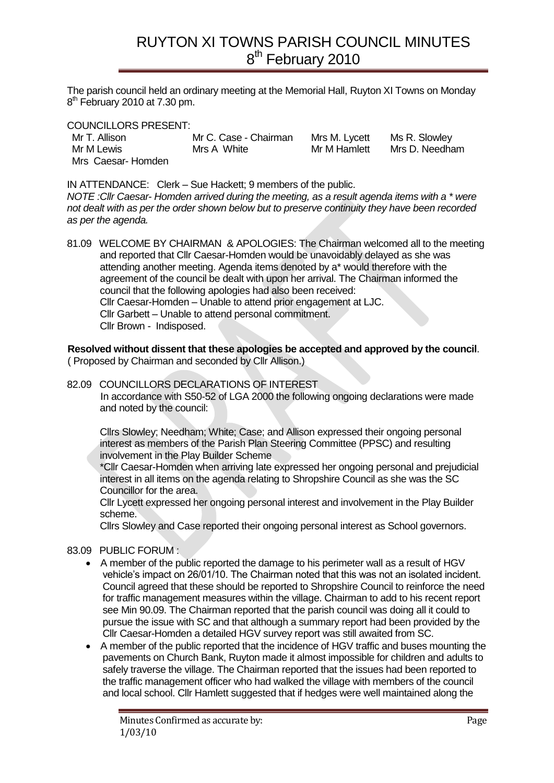The parish council held an ordinary meeting at the Memorial Hall, Ruyton XI Towns on Monday 8<sup>th</sup> February 2010 at 7.30 pm.

COUNCILLORS PRESENT:

| Mr T. Allison     | Mr C. Case - Chairman | Mrs M. Lycett | Ms R. Slowley  |
|-------------------|-----------------------|---------------|----------------|
| Mr M Lewis        | Mrs A White           | Mr M Hamlett  | Mrs D. Needham |
| Mrs Caesar-Homden |                       |               |                |

IN ATTENDANCE: Clerk – Sue Hackett; 9 members of the public.

*NOTE :Cllr Caesar- Homden arrived during the meeting, as a result agenda items with a \* were not dealt with as per the order shown below but to preserve continuity they have been recorded as per the agenda.* 

81.09 WELCOME BY CHAIRMAN & APOLOGIES: The Chairman welcomed all to the meeting and reported that Cllr Caesar-Homden would be unavoidably delayed as she was attending another meeting. Agenda items denoted by a\* would therefore with the agreement of the council be dealt with upon her arrival. The Chairman informed the council that the following apologies had also been received: Cllr Caesar-Homden – Unable to attend prior engagement at LJC. Cllr Garbett – Unable to attend personal commitment. Cllr Brown - Indisposed.

**Resolved without dissent that these apologies be accepted and approved by the council**. ( Proposed by Chairman and seconded by Cllr Allison.)

### 82.09 COUNCILLORS DECLARATIONS OF INTEREST

In accordance with S50-52 of LGA 2000 the following ongoing declarations were made and noted by the council:

Cllrs Slowley; Needham; White; Case; and Allison expressed their ongoing personal interest as members of the Parish Plan Steering Committee (PPSC) and resulting involvement in the Play Builder Scheme

\*Cllr Caesar-Homden when arriving late expressed her ongoing personal and prejudicial interest in all items on the agenda relating to Shropshire Council as she was the SC Councillor for the area.

Cllr Lycett expressed her ongoing personal interest and involvement in the Play Builder scheme.

Cllrs Slowley and Case reported their ongoing personal interest as School governors.

### 83.09 PUBLIC FORUM :

- A member of the public reported the damage to his perimeter wall as a result of HGV vehicle's impact on 26/01/10. The Chairman noted that this was not an isolated incident. Council agreed that these should be reported to Shropshire Council to reinforce the need for traffic management measures within the village. Chairman to add to his recent report see Min 90.09. The Chairman reported that the parish council was doing all it could to pursue the issue with SC and that although a summary report had been provided by the Cllr Caesar-Homden a detailed HGV survey report was still awaited from SC.
- A member of the public reported that the incidence of HGV traffic and buses mounting the pavements on Church Bank, Ruyton made it almost impossible for children and adults to safely traverse the village. The Chairman reported that the issues had been reported to the traffic management officer who had walked the village with members of the council and local school. Cllr Hamlett suggested that if hedges were well maintained along the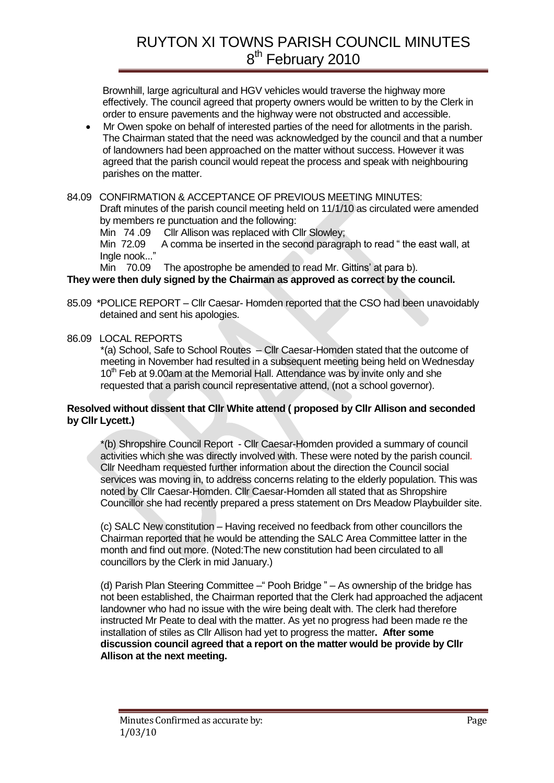Brownhill, large agricultural and HGV vehicles would traverse the highway more effectively. The council agreed that property owners would be written to by the Clerk in order to ensure pavements and the highway were not obstructed and accessible.

- Mr Owen spoke on behalf of interested parties of the need for allotments in the parish. The Chairman stated that the need was acknowledged by the council and that a number of landowners had been approached on the matter without success. However it was agreed that the parish council would repeat the process and speak with neighbouring parishes on the matter.
- 84.09 CONFIRMATION & ACCEPTANCE OF PREVIOUS MEETING MINUTES: Draft minutes of the parish council meeting held on 11/1/10 as circulated were amended by members re punctuation and the following:

Min 74.09 Cllr Allison was replaced with Cllr Slowley:

Min 72.09 A comma be inserted in the second paragraph to read " the east wall, at Ingle nook..."

Min 70.09 The apostrophe be amended to read Mr. Gittins' at para b).

### **They were then duly signed by the Chairman as approved as correct by the council.**

- 85.09 \*POLICE REPORT Cllr Caesar- Homden reported that the CSO had been unavoidably detained and sent his apologies.
- 86.09 LOCAL REPORTS

\*(a) School, Safe to School Routes – Cllr Caesar-Homden stated that the outcome of meeting in November had resulted in a subsequent meeting being held on Wednesday  $10<sup>th</sup>$  Feb at 9.00am at the Memorial Hall. Attendance was by invite only and she requested that a parish council representative attend, (not a school governor).

### **Resolved without dissent that Cllr White attend ( proposed by Cllr Allison and seconded by Cllr Lycett.)**

\*(b) Shropshire Council Report - Cllr Caesar-Homden provided a summary of council activities which she was directly involved with. These were noted by the parish council. Cllr Needham requested further information about the direction the Council social services was moving in, to address concerns relating to the elderly population. This was noted by Cllr Caesar-Homden. Cllr Caesar-Homden all stated that as Shropshire Councillor she had recently prepared a press statement on Drs Meadow Playbuilder site.

(c) SALC New constitution – Having received no feedback from other councillors the Chairman reported that he would be attending the SALC Area Committee latter in the month and find out more. (Noted:The new constitution had been circulated to all councillors by the Clerk in mid January.)

(d) Parish Plan Steering Committee – " Pooh Bridge " – As ownership of the bridge has not been established, the Chairman reported that the Clerk had approached the adjacent landowner who had no issue with the wire being dealt with. The clerk had therefore instructed Mr Peate to deal with the matter. As yet no progress had been made re the installation of stiles as Cllr Allison had yet to progress the matter**. After some discussion council agreed that a report on the matter would be provide by Cllr Allison at the next meeting.**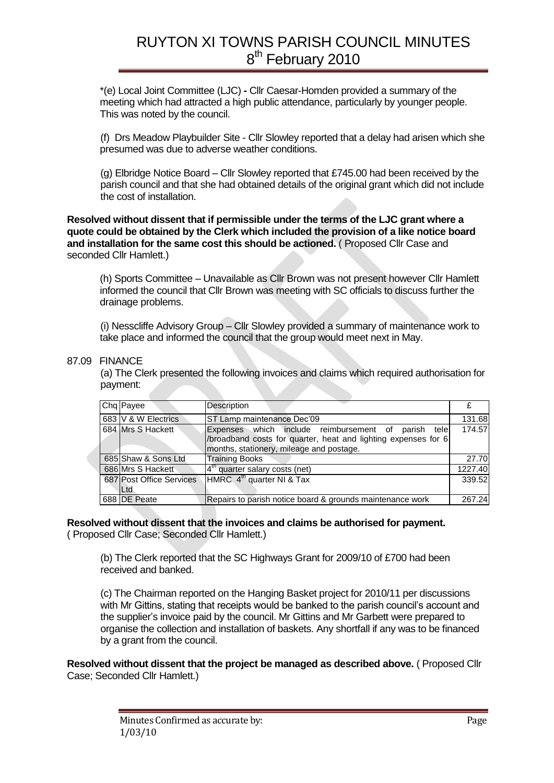\*(e) Local Joint Committee (LJC) **-** Cllr Caesar-Homden provided a summary of the meeting which had attracted a high public attendance, particularly by younger people. This was noted by the council.

(f) Drs Meadow Playbuilder Site - Cllr Slowley reported that a delay had arisen which she presumed was due to adverse weather conditions.

(g) Elbridge Notice Board – Cllr Slowley reported that £745.00 had been received by the parish council and that she had obtained details of the original grant which did not include the cost of installation.

**Resolved without dissent that if permissible under the terms of the LJC grant where a quote could be obtained by the Clerk which included the provision of a like notice board and installation for the same cost this should be actioned.** ( Proposed Cllr Case and seconded Cllr Hamlett.)

(h) Sports Committee – Unavailable as Cllr Brown was not present however Cllr Hamlett informed the council that Cllr Brown was meeting with SC officials to discuss further the drainage problems.

(i) Nesscliffe Advisory Group – Cllr Slowley provided a summary of maintenance work to take place and informed the council that the group would meet next in May.

#### 87.09 FINANCE

(a) The Clerk presented the following invoices and claims which required authorisation for payment:

| Chq Payee                         | Description                                                                                                                                                       |         |
|-----------------------------------|-------------------------------------------------------------------------------------------------------------------------------------------------------------------|---------|
| 683 V & W Electrics               | ST Lamp maintenance Dec'09                                                                                                                                        | 131.68  |
| 684 Mrs S Hackett                 | Expenses which include reimbursement of parish tele<br>/broadband costs for quarter, heat and lighting expenses for 6<br>months, stationery, mileage and postage. | 174.57  |
| 685 Shaw & Sons Ltd               | <b>Training Books</b>                                                                                                                                             | 27.70   |
| 686 Mrs S Hackett                 | $4th$ quarter salary costs (net)                                                                                                                                  | 1227.40 |
| 687 Post Office Services<br>ILtd. | HMRC 4 <sup>th</sup> quarter NI & Tax                                                                                                                             | 339.52  |
| 688 DE Peate                      | Repairs to parish notice board & grounds maintenance work                                                                                                         | 267.24  |

#### **Resolved without dissent that the invoices and claims be authorised for payment.** ( Proposed Cllr Case; Seconded Cllr Hamlett.)

(b) The Clerk reported that the SC Highways Grant for 2009/10 of £700 had been received and banked.

(c) The Chairman reported on the Hanging Basket project for 2010/11 per discussions with Mr Gittins, stating that receipts would be banked to the parish council's account and the supplier's invoice paid by the council. Mr Gittins and Mr Garbett were prepared to organise the collection and installation of baskets. Any shortfall if any was to be financed by a grant from the council.

**Resolved without dissent that the project be managed as described above.** ( Proposed Cllr Case; Seconded Cllr Hamlett.)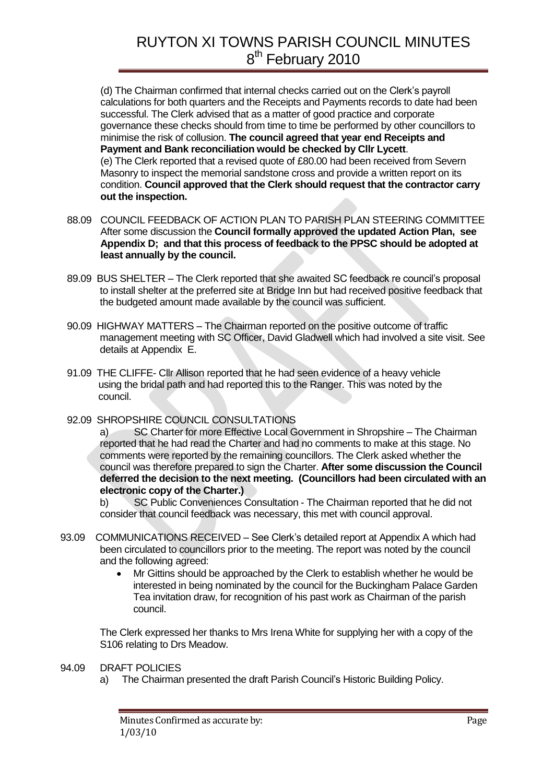(d) The Chairman confirmed that internal checks carried out on the Clerk's payroll calculations for both quarters and the Receipts and Payments records to date had been successful. The Clerk advised that as a matter of good practice and corporate governance these checks should from time to time be performed by other councillors to minimise the risk of collusion. **The council agreed that year end Receipts and Payment and Bank reconciliation would be checked by Cllr Lycett**. (e) The Clerk reported that a revised quote of £80.00 had been received from Severn Masonry to inspect the memorial sandstone cross and provide a written report on its condition. **Council approved that the Clerk should request that the contractor carry out the inspection.**

- 88.09 COUNCIL FEEDBACK OF ACTION PLAN TO PARISH PLAN STEERING COMMITTEE After some discussion the **Council formally approved the updated Action Plan, see Appendix D; and that this process of feedback to the PPSC should be adopted at least annually by the council.**
- 89.09 BUS SHELTER The Clerk reported that she awaited SC feedback re council's proposal to install shelter at the preferred site at Bridge Inn but had received positive feedback that the budgeted amount made available by the council was sufficient.
- 90.09 HIGHWAY MATTERS The Chairman reported on the positive outcome of traffic management meeting with SC Officer, David Gladwell which had involved a site visit. See details at Appendix E.
- 91.09 THE CLIFFE- Cllr Allison reported that he had seen evidence of a heavy vehicle using the bridal path and had reported this to the Ranger. This was noted by the council.
- 92.09 SHROPSHIRE COUNCIL CONSULTATIONS

a) SC Charter for more Effective Local Government in Shropshire – The Chairman reported that he had read the Charter and had no comments to make at this stage. No comments were reported by the remaining councillors. The Clerk asked whether the council was therefore prepared to sign the Charter. **After some discussion the Council deferred the decision to the next meeting. (Councillors had been circulated with an electronic copy of the Charter.)** 

b) SC Public Conveniences Consultation - The Chairman reported that he did not consider that council feedback was necessary, this met with council approval.

- 93.09 COMMUNICATIONS RECEIVED See Clerk's detailed report at Appendix A which had been circulated to councillors prior to the meeting. The report was noted by the council and the following agreed:
	- Mr Gittins should be approached by the Clerk to establish whether he would be interested in being nominated by the council for the Buckingham Palace Garden Tea invitation draw, for recognition of his past work as Chairman of the parish council.

The Clerk expressed her thanks to Mrs Irena White for supplying her with a copy of the S106 relating to Drs Meadow.

- 94.09 DRAFT POLICIES
	- a) The Chairman presented the draft Parish Council's Historic Building Policy.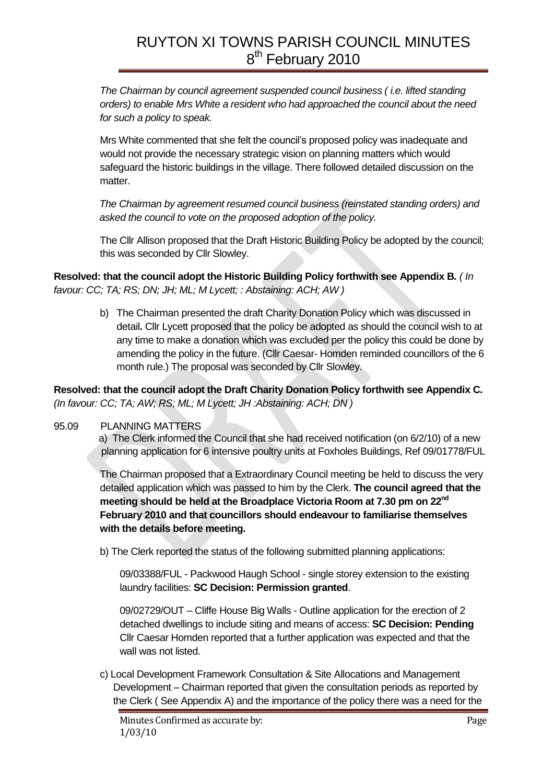*The Chairman by council agreement suspended council business ( i.e. lifted standing orders) to enable Mrs White a resident who had approached the council about the need for such a policy to speak.*

Mrs White commented that she felt the council's proposed policy was inadequate and would not provide the necessary strategic vision on planning matters which would safeguard the historic buildings in the village. There followed detailed discussion on the matter.

*The Chairman by agreement resumed council business (reinstated standing orders) and asked the council to vote on the proposed adoption of the policy.* 

The Cllr Allison proposed that the Draft Historic Building Policy be adopted by the council; this was seconded by Cllr Slowley.

**Resolved: that the council adopt the Historic Building Policy forthwith see Appendix B***. ( In favour: CC; TA; RS; DN; JH; ML; M Lycett; : Abstaining: ACH; AW )*

> b) The Chairman presented the draft Charity Donation Policy which was discussed in detail**.** Cllr Lycett proposed that the policy be adopted as should the council wish to at any time to make a donation which was excluded per the policy this could be done by amending the policy in the future. (Cllr Caesar- Homden reminded councillors of the 6 month rule.) The proposal was seconded by Cllr Slowley.

**Resolved: that the council adopt the Draft Charity Donation Policy forthwith see Appendix C***. (In favour: CC; TA; AW; RS; ML; M Lycett; JH :Abstaining: ACH; DN )*

### 95.09 PLANNING MATTERS

 a) The Clerk informed the Council that she had received notification (on 6/2/10) of a new planning application for 6 intensive poultry units at Foxholes Buildings, Ref 09/01778/FUL

The Chairman proposed that a Extraordinary Council meeting be held to discuss the very detailed application which was passed to him by the Clerk. **The council agreed that the meeting should be held at the Broadplace Victoria Room at 7.30 pm on 22nd February 2010 and that councillors should endeavour to familiarise themselves with the details before meeting.**

b) The Clerk reported the status of the following submitted planning applications:

09/03388/FUL - Packwood Haugh School - single storey extension to the existing laundry facilities: **SC Decision: Permission granted**.

09/02729/OUT – Cliffe House Big Walls - Outline application for the erection of 2 detached dwellings to include siting and means of access: **SC Decision: Pending** Cllr Caesar Homden reported that a further application was expected and that the wall was not listed.

c) Local Development Framework Consultation & Site Allocations and Management Development – Chairman reported that given the consultation periods as reported by the Clerk ( See Appendix A) and the importance of the policy there was a need for the